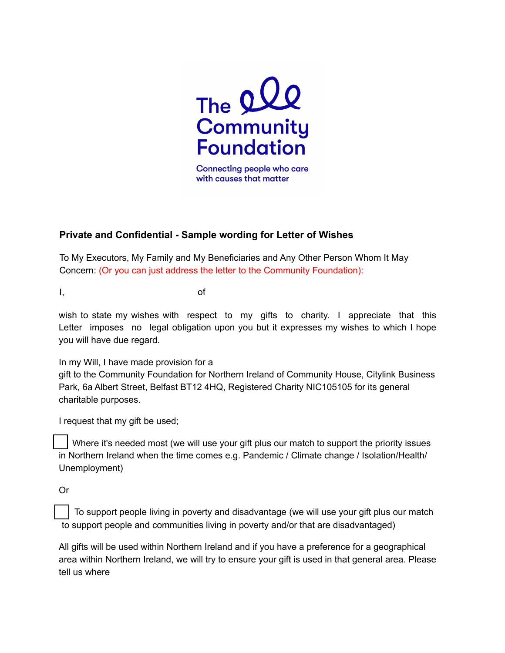

Connecting people who care with causes that matter

## **Private and Confidential - Sample wording for Letter of Wishes**

To My Executors, My Family and My Beneficiaries and Any Other Person Whom It May Concern: (Or you can just address the letter to the Community Foundation):

I, of

wish to state my wishes with respect to my gifts to charity. I appreciate that this Letter imposes no legal obligation upon you but it expresses my wishes to which I hope you will have due regard.

In my Will, I have made provision for a

gift to the Community Foundation for Northern Ireland of Community House, Citylink Business Park, 6a Albert Street, Belfast BT12 4HQ, Registered Charity NIC105105 for its general charitable purposes.

I request that my gift be used;

Where it's needed most (we will use your gift plus our match to support the priority issues in Northern Ireland when the time comes e.g. Pandemic / Climate change / Isolation/Health/ Unemployment)

Or

To support people living in poverty and disadvantage (we will use your gift plus our match to support people and communities living in poverty and/or that are disadvantaged)

All gifts will be used within Northern Ireland and if you have a preference for a geographical area within Northern Ireland, we will try to ensure your gift is used in that general area. Please tell us where